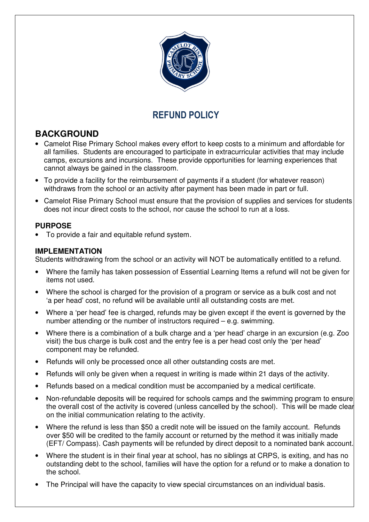

# REFUND POLICY

## **BACKGROUND**

 $\overline{a}$ 

- Camelot Rise Primary School makes every effort to keep costs to a minimum and affordable for all families. Students are encouraged to participate in extracurricular activities that may include camps, excursions and incursions. These provide opportunities for learning experiences that cannot always be gained in the classroom.
- To provide a facility for the reimbursement of payments if a student (for whatever reason) withdraws from the school or an activity after payment has been made in part or full.
- Camelot Rise Primary School must ensure that the provision of supplies and services for students does not incur direct costs to the school, nor cause the school to run at a loss.

### **PURPOSE**

• To provide a fair and equitable refund system.

#### **IMPLEMENTATION**

Students withdrawing from the school or an activity will NOT be automatically entitled to a refund.

- Where the family has taken possession of Essential Learning Items a refund will not be given for items not used.
- Where the school is charged for the provision of a program or service as a bulk cost and not 'a per head' cost, no refund will be available until all outstanding costs are met.
- Where a 'per head' fee is charged, refunds may be given except if the event is governed by the number attending or the number of instructors required – e.g. swimming.
- Where there is a combination of a bulk charge and a 'per head' charge in an excursion (e.g. Zoo visit) the bus charge is bulk cost and the entry fee is a per head cost only the 'per head' component may be refunded.
- Refunds will only be processed once all other outstanding costs are met.
- Refunds will only be given when a request in writing is made within 21 days of the activity.
- Refunds based on a medical condition must be accompanied by a medical certificate.
- Non-refundable deposits will be required for schools camps and the swimming program to ensure the overall cost of the activity is covered (unless cancelled by the school). This will be made clear on the initial communication relating to the activity.
- Where the refund is less than \$50 a credit note will be issued on the family account. Refunds over \$50 will be credited to the family account or returned by the method it was initially made (EFT/ Compass). Cash payments will be refunded by direct deposit to a nominated bank account.
- Where the student is in their final year at school, has no siblings at CRPS, is exiting, and has no outstanding debt to the school, families will have the option for a refund or to make a donation to the school.
- The Principal will have the capacity to view special circumstances on an individual basis.